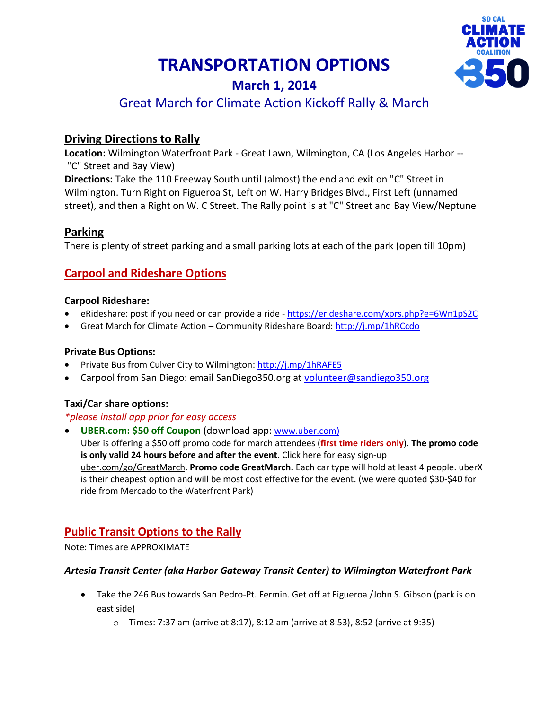# **TRANSPORTATION OPTIONS**



# **March 1, 2014** Great March for Climate Action Kickoff Rally & March

# **Driving Directions to Rally**

**Location:** Wilmington Waterfront Park - Great Lawn, Wilmington, CA (Los Angeles Harbor -- "C" Street and Bay View)

**Directions:** Take the 110 Freeway South until (almost) the end and exit on "C" Street in Wilmington. Turn Right on Figueroa St, Left on W. Harry Bridges Blvd., First Left (unnamed street), and then a Right on W. C Street. The Rally point is at "C" Street and Bay View/Neptune

## **Parking**

There is plenty of street parking and a small parking lots at each of the park (open till 10pm)

# **Carpool and Rideshare Options**

#### **Carpool Rideshare:**

- eRideshare: post if you need or can provide a ride <https://erideshare.com/xprs.php?e=6Wn1pS2C>
- Great March for Climate Action Community Rideshare Board: http://j.mp/1hRCcdo

## **Private Bus Options:**

- Private Bus from Culver City to Wilmington:<http://j.mp/1hRAFE5>
- Carpool from San Diego: email SanDiego350.org at [volunteer@sandiego350.org](mailto:volunteer@sandiego350.org)

## **Taxi/Car share options:**

#### *\*please install app prior for easy access*

 **UBER.com: \$50 off Coupon** (download app: [www.uber.com\)](http://www.uber.com/) Uber is offering a \$50 off promo code for march attendees (**first time riders only**). **The promo code is only valid 24 hours before and after the event.** Click here for easy sign-up [uber.com/go/GreatMarch.](http://uber.com/go/GreatMarch) **Promo code GreatMarch.** Each car type will hold at least 4 people. uberX is their cheapest option and will be most cost effective for the event. (we were quoted \$30-\$40 for ride from Mercado to the Waterfront Park)

# **Public Transit Options to the Rally**

Note: Times are APPROXIMATE

## *Artesia Transit Center (aka Harbor Gateway Transit Center) to Wilmington Waterfront Park*

- Take the 246 Bus towards San Pedro-Pt. Fermin. Get off at Figueroa /John S. Gibson (park is on east side)
	- o Times: 7:37 am (arrive at 8:17), 8:12 am (arrive at 8:53), 8:52 (arrive at 9:35)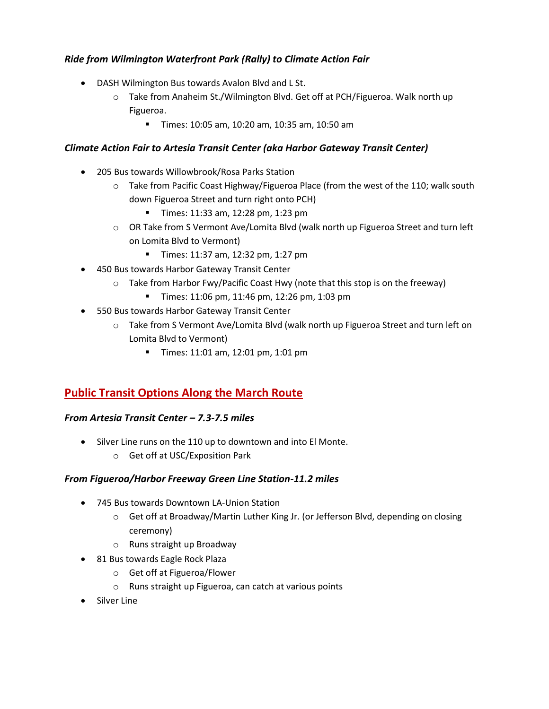## *Ride from Wilmington Waterfront Park (Rally) to Climate Action Fair*

- DASH Wilmington Bus towards Avalon Blvd and L St.
	- o Take from Anaheim St./Wilmington Blvd. Get off at PCH/Figueroa. Walk north up Figueroa.
		- Times: 10:05 am, 10:20 am, 10:35 am, 10:50 am

### *Climate Action Fair to Artesia Transit Center (aka Harbor Gateway Transit Center)*

- 205 Bus towards Willowbrook/Rosa Parks Station
	- o Take from Pacific Coast Highway/Figueroa Place (from the west of the 110; walk south down Figueroa Street and turn right onto PCH)
		- Times: 11:33 am, 12:28 pm, 1:23 pm
	- $\circ$  OR Take from S Vermont Ave/Lomita Blvd (walk north up Figueroa Street and turn left on Lomita Blvd to Vermont)
		- **Times: 11:37 am, 12:32 pm, 1:27 pm**
- 450 Bus towards Harbor Gateway Transit Center
	- o Take from Harbor Fwy/Pacific Coast Hwy (note that this stop is on the freeway)
		- Times: 11:06 pm, 11:46 pm, 12:26 pm, 1:03 pm
- 550 Bus towards Harbor Gateway Transit Center
	- o Take from S Vermont Ave/Lomita Blvd (walk north up Figueroa Street and turn left on Lomita Blvd to Vermont)
		- Times: 11:01 am, 12:01 pm, 1:01 pm

# **Public Transit Options Along the March Route**

#### *From Artesia Transit Center – 7.3-7.5 miles*

- Silver Line runs on the 110 up to downtown and into El Monte.
	- o Get off at USC/Exposition Park

#### *From Figueroa/Harbor Freeway Green Line Station-11.2 miles*

- 745 Bus towards Downtown LA-Union Station
	- o Get off at Broadway/Martin Luther King Jr. (or Jefferson Blvd, depending on closing ceremony)
	- o Runs straight up Broadway
- 81 Bus towards Eagle Rock Plaza
	- o Get off at Figueroa/Flower
	- o Runs straight up Figueroa, can catch at various points
- Silver Line